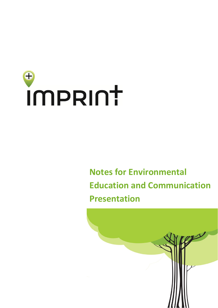# $\bigoplus$ imprunt

# **Notes for Environmental Education and Communication Presentation**

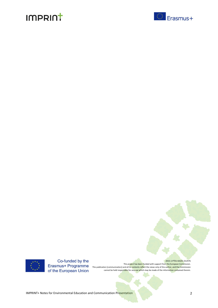





Co-funded by the of the European Union

2015-1-PT01-KA201-012976 This project has been funded with support from the European Commission. This publication [communication] and all its contents reflect the views only of the author, and the Commission cannot be held responsible for any use which may be made of the information contained therein.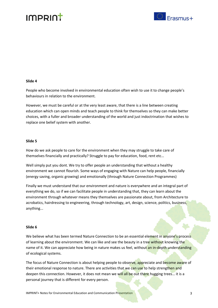



#### **Slide 4**

People who become involved in environmental education often wish to use it to change people's behaviours in relation to the environment.

However, we must be careful or at the very least aware, that there is a line between creating education which can open minds and teach people to think for themselves so they can make better choices, with a fuller and broader understanding of the world and just indoctrination that wishes to replace one belief system with another.

#### **Slide 5**

How do we ask people to care for the environment when they may struggle to take care of themselves financially and practically? Struggle to pay for education, food, rent etc…

Well simply put you dont. We try to offer people an understanding that without a healthy environment we cannot flourish. Some ways of engaging with Nature can help people, financially (energy saving, organic growing) and emotionally (through Nature Connection Programmes)

Finally we must understand that our environment and nature is everywhere and an integral part of everything we do, so if we can facilitate people in understanding that, they can learn about the environment through whatever means they themselves are passionate about, from Architecture to acrobatics, hairdressing to engineering, through technology, art, design, science, politics, business, anything...

#### **Slide 6**

We believe what has been termed Nature Connection to be an essential element in anyone's process of learning about the environment. We can like and see the beauty in a tree without knowing the name of it. We can appreciate how being in nature makes us feel, without an in-depth understanding of ecological systems.

The focus of Nature Connection is about helping people to observe, appreciate and become aware of their emotional response to nature. There are activities that we can use to help strengthen and deepen this connection. However, it does not mean we will all be out there hugging trees... it is a personal journey that is different for every person.